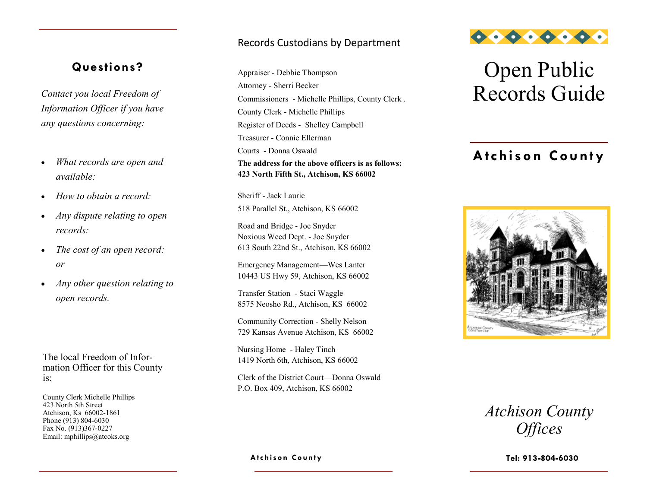## **Questions?**

*Information Officer if you have any questions concerning:*

- *What records are open and available:*
- *How to obtain a record:*
- *Any dispute relating to open records:*
- *The cost of an open record: or*
- *Any other question relating to open records.*

The local Freedom of Information Officer for this County is:

County Clerk Michelle Phillips 423 North 5th Street Atchison, Ks 66002-1861 Phone (913) 804-6030 Fax No. (913)367-0227 Email: mphillips@atcoks.org

#### Records Custodians by Department

*Contact you local Freedom of* Attorney - Sherri Becker<br> *Commissioners* Michelle Phillips County Clerk<br> **Records Guide** Appraiser - Debbie Thompson Attorney - Sherri Becker Commissioners - Michelle Phillips, County Clerk . County Clerk - Michelle Phillips Register of Deeds - Shelley Campbell Treasurer - Connie Ellerman Courts - Donna Oswald **The address for the above officers is as follows: 423 North Fifth St., Atchison, KS 66002**

> Sheriff - Jack Laurie 518 Parallel St., Atchison, KS 66002

Road and Bridge - Joe Snyder Noxious Weed Dept. - Joe Snyder 613 South 22nd St., Atchison, KS 66002

Emergency Management—Wes Lanter 10443 US Hwy 59, Atchison, KS 66002

Transfer Station - Staci Waggle 8575 Neosho Rd., Atchison, KS 66002

Community Correction - Shelly Nelson 729 Kansas Avenue Atchison, KS 66002

Nursing Home - Haley Tinch 1419 North 6th, Atchison, KS 66002

Clerk of the District Court—Donna Oswald P.O. Box 409, Atchison, KS 66002

**Atchison Co unty**



# Open Public

## **Atchison County**



| <b>Atchison County</b> |  |
|------------------------|--|
| <i><b>Offices</b></i>  |  |

**Tel:**